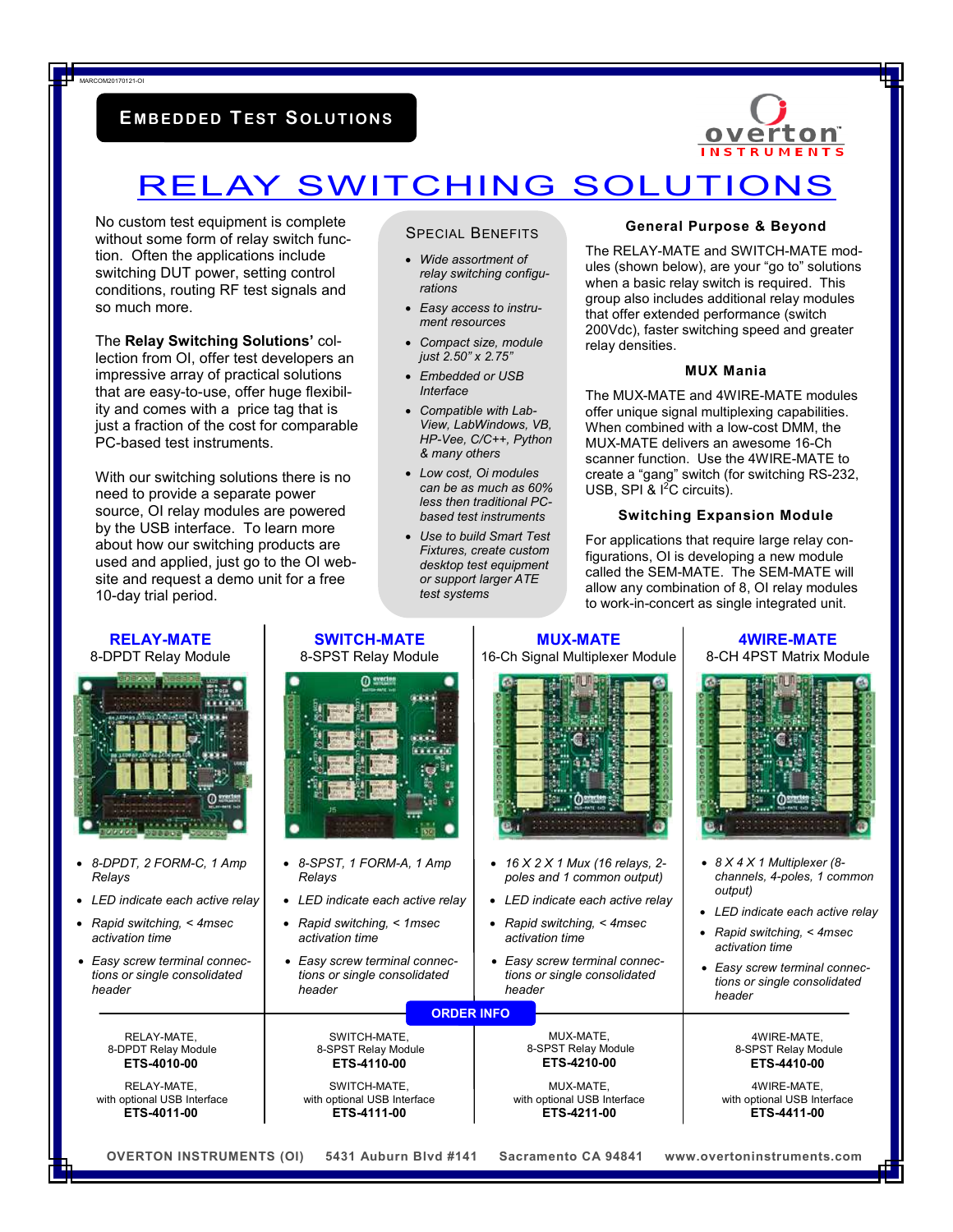### **E MB EDDED TEST SOLU T I ON S**



## RELAY SWITCHING SOLUTIONS

No custom test equipment is complete without some form of relay switch function. Often the applications include switching DUT power, setting control conditions, routing RF test signals and so much more.

MARCOM20170121-OI

The **Relay Switching Solutions'** collection from OI, offer test developers an impressive array of practical solutions that are easy-to-use, offer huge flexibility and comes with a price tag that is just a fraction of the cost for comparable PC-based test instruments.

With our switching solutions there is no need to provide a separate power source, OI relay modules are powered by the USB interface. To learn more about how our switching products are used and applied, just go to the OI website and request a demo unit for a free 10-day trial period.

#### SPECIAL BENEFITS

- *Wide assortment of relay switching configurations*
- *Easy access to instrument resources*
- *Compact size, module just 2.50" x 2.75"*
- *Embedded or USB Interface*
- *Compatible with Lab-View, LabWindows, VB, HP-Vee, C/C++, Python & many others*
- *Low cost, Oi modules can be as much as 60% less then traditional PCbased test instruments*
- *Use to build Smart Test Fixtures, create custom desktop test equipment or support larger ATE test systems*

#### **General Purpose & Beyond**

The RELAY-MATE and SWITCH-MATE modules (shown below), are your "go to" solutions when a basic relay switch is required. This group also includes additional relay modules that offer extended performance (switch 200Vdc), faster switching speed and greater relay densities.

#### **MUX Mania**

The MUX-MATE and 4WIRE-MATE modules offer unique signal multiplexing capabilities. When combined with a low-cost DMM, the MUX-MATE delivers an awesome 16-Ch scanner function. Use the 4WIRE-MATE to create a "gang" switch (for switching RS-232, USB, SPI & <sup>2</sup>C circuits).

#### **Switching Expansion Module**

For applications that require large relay configurations, OI is developing a new module called the SEM-MATE. The SEM-MATE will allow any combination of 8, OI relay modules to work-in-concert as single integrated unit.

| <b>RELAY-MATE</b>                                                                                                                                                                                   | <b>SWITCH-MATE</b>                                                                                                                                                                                                                     | <b>MUX-MATE</b>                                                                                                                                                                                                                                | <b>4WIRE-MATE</b>                                                                                                                                                                                                                                      |  |  |  |  |  |
|-----------------------------------------------------------------------------------------------------------------------------------------------------------------------------------------------------|----------------------------------------------------------------------------------------------------------------------------------------------------------------------------------------------------------------------------------------|------------------------------------------------------------------------------------------------------------------------------------------------------------------------------------------------------------------------------------------------|--------------------------------------------------------------------------------------------------------------------------------------------------------------------------------------------------------------------------------------------------------|--|--|--|--|--|
| 8-DPDT Relay Module                                                                                                                                                                                 | 8-SPST Relay Module                                                                                                                                                                                                                    | 16-Ch Signal Multiplexer Module                                                                                                                                                                                                                | 8-CH 4PST Matrix Module                                                                                                                                                                                                                                |  |  |  |  |  |
|                                                                                                                                                                                                     | $\Omega$ system<br><b>The Final</b>                                                                                                                                                                                                    |                                                                                                                                                                                                                                                |                                                                                                                                                                                                                                                        |  |  |  |  |  |
| • 8-DPDT, 2 FORM-C, 1 Amp<br>Relays<br>• LED indicate each active relay<br>• Rapid switching, < 4msec<br>activation time<br>• Easy screw terminal connec-<br>tions or single consolidated<br>header | $\bullet$ 8-SPST, 1 FORM-A, 1 Amp<br>Relays<br>• LED indicate each active relay<br>• Rapid switching, $\leq$ 1 msec<br>activation time<br>• Easy screw terminal connec-<br>tions or single consolidated<br>header<br><b>ORDER INFO</b> | • $16 \times 2 \times 1$ Mux (16 relays, 2-<br>poles and 1 common output)<br>• LED indicate each active relay<br>• Rapid switching, $\leq$ 4msec<br>activation time<br>• Easy screw terminal connec-<br>tions or single consolidated<br>header | • $8 \times 4 \times 1$ Multiplexer (8-<br>channels, 4-poles, 1 common<br>output)<br>• LED indicate each active relay<br>• Rapid switching, $\leq$ 4msec<br>activation time<br>• Easy screw terminal connec-<br>tions or single consolidated<br>header |  |  |  |  |  |
| RELAY-MATE,                                                                                                                                                                                         | SWITCH-MATE,                                                                                                                                                                                                                           | MUX-MATE.                                                                                                                                                                                                                                      | 4WIRE-MATE,                                                                                                                                                                                                                                            |  |  |  |  |  |
| 8-DPDT Relay Module                                                                                                                                                                                 | 8-SPST Relay Module                                                                                                                                                                                                                    | 8-SPST Relay Module                                                                                                                                                                                                                            | 8-SPST Relay Module                                                                                                                                                                                                                                    |  |  |  |  |  |
| ETS-4010-00                                                                                                                                                                                         | ETS-4110-00                                                                                                                                                                                                                            | ETS-4210-00                                                                                                                                                                                                                                    | ETS-4410-00                                                                                                                                                                                                                                            |  |  |  |  |  |
| RELAY-MATE.                                                                                                                                                                                         | SWITCH-MATE.                                                                                                                                                                                                                           | MUX-MATE.                                                                                                                                                                                                                                      | 4WIRE-MATE.                                                                                                                                                                                                                                            |  |  |  |  |  |
| with optional USB Interface                                                                                                                                                                         | with optional USB Interface                                                                                                                                                                                                            | with optional USB Interface                                                                                                                                                                                                                    | with optional USB Interface                                                                                                                                                                                                                            |  |  |  |  |  |
| ETS-4011-00                                                                                                                                                                                         | ETS-4111-00                                                                                                                                                                                                                            | ETS-4211-00                                                                                                                                                                                                                                    | ETS-4411-00                                                                                                                                                                                                                                            |  |  |  |  |  |
| <b>OVERTON INSTRUMENTS (OI)</b><br>5431 Auburn Blvd #141<br>Sacramento CA 94841<br>www.overtoninstruments.com                                                                                       |                                                                                                                                                                                                                                        |                                                                                                                                                                                                                                                |                                                                                                                                                                                                                                                        |  |  |  |  |  |